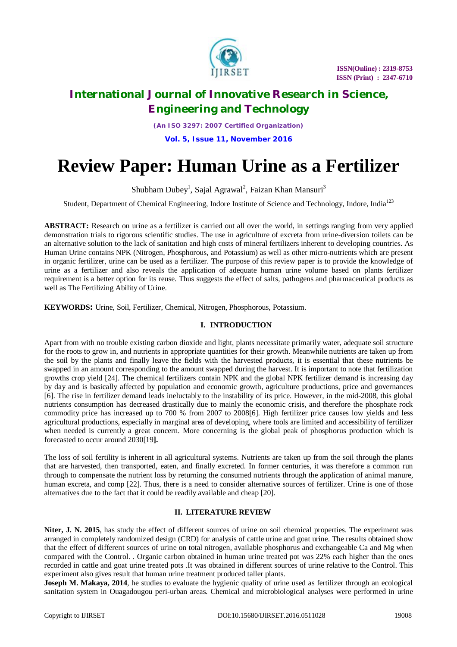

 **ISSN(Online) : 2319-8753 ISSN (Print) : 2347-6710**

# **International Journal of Innovative Research in Science, Engineering and Technology**

*(An ISO 3297: 2007 Certified Organization)*

**Vol. 5, Issue 11, November 2016**

# **Review Paper: Human Urine as a Fertilizer**

Shubham Dubey<sup>1</sup>, Sajal Agrawal<sup>2</sup>, Faizan Khan Mansuri<sup>3</sup>

Student, Department of Chemical Engineering, Indore Institute of Science and Technology, Indore, India<sup>123</sup>

**ABSTRACT:** Research on urine as a fertilizer is carried out all over the world, in settings ranging from very applied demonstration trials to rigorous scientific studies. The use in agriculture of excreta from urine-diversion toilets can be an alternative solution to the lack of sanitation and high costs of mineral fertilizers inherent to developing countries. As Human Urine contains NPK (Nitrogen, Phosphorous, and Potassium) as well as other micro-nutrients which are present in organic fertilizer, urine can be used as a fertilizer. The purpose of this review paper is to provide the knowledge of urine as a fertilizer and also reveals the application of adequate human urine volume based on plants fertilizer requirement is a better option for its reuse. Thus suggests the effect of salts, pathogens and pharmaceutical products as well as The Fertilizing Ability of Urine.

**KEYWORDS:** Urine, Soil, Fertilizer, Chemical, Nitrogen, Phosphorous, Potassium.

## **I. INTRODUCTION**

Apart from with no trouble existing carbon dioxide and light, plants necessitate primarily water, adequate soil structure for the roots to grow in, and nutrients in appropriate quantities for their growth. Meanwhile nutrients are taken up from the soil by the plants and finally leave the fields with the harvested products, it is essential that these nutrients be swapped in an amount corresponding to the amount swapped during the harvest. It is important to note that fertilization growths crop yield [24]. The chemical fertilizers contain NPK and the global NPK fertilizer demand is increasing day by day and is basically affected by population and economic growth, agriculture productions, price and governances [6]. The rise in fertilizer demand leads ineluctably to the instability of its price. However, in the mid-2008, this global nutrients consumption has decreased drastically due to mainly the economic crisis, and therefore the phosphate rock commodity price has increased up to 700 % from 2007 to 2008[6]. High fertilizer price causes low yields and less agricultural productions, especially in marginal area of developing, where tools are limited and accessibility of fertilizer when needed is currently a great concern. More concerning is the global peak of phosphorus production which is forecasted to occur around 2030[19**].**

The loss of soil fertility is inherent in all agricultural systems. Nutrients are taken up from the soil through the plants that are harvested, then transported, eaten, and finally excreted. In former centuries, it was therefore a common run through to compensate the nutrient loss by returning the consumed nutrients through the application of animal manure, human excreta, and comp [22]. Thus, there is a need to consider alternative sources of fertilizer. Urine is one of those alternatives due to the fact that it could be readily available and cheap [20].

## **II. LITERATURE REVIEW**

**Niter, J. N. 2015**, has study the effect of different sources of urine on soil chemical properties. The experiment was arranged in completely randomized design (CRD) for analysis of cattle urine and goat urine. The results obtained show that the effect of different sources of urine on total nitrogen, available phosphorus and exchangeable Ca and Mg when compared with the Control. . Organic carbon obtained in human urine treated pot was 22% each higher than the ones recorded in cattle and goat urine treated pots .It was obtained in different sources of urine relative to the Control. This experiment also gives result that human urine treatment produced taller plants.

**Joseph M. Makaya, 2014**, he studies to evaluate the hygienic quality of urine used as fertilizer through an ecological sanitation system in Ouagadougou peri-urban areas. Chemical and microbiological analyses were performed in urine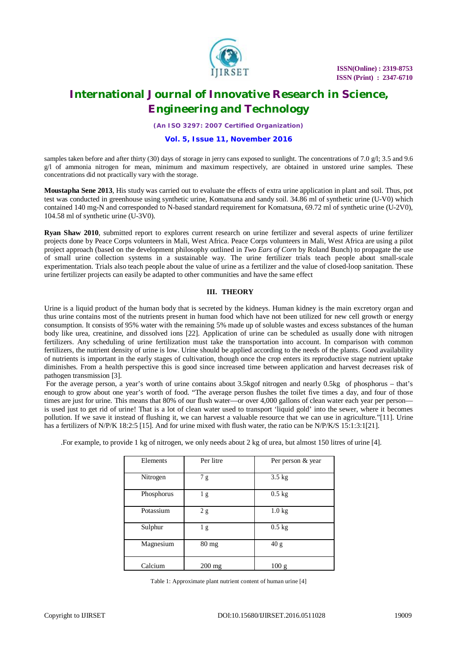

*(An ISO 3297: 2007 Certified Organization)*

#### **Vol. 5, Issue 11, November 2016**

samples taken before and after thirty (30) days of storage in jerry cans exposed to sunlight. The concentrations of 7.0 g/l; 3.5 and 9.6 g/l of ammonia nitrogen for mean, minimum and maximum respectively, are obtained in unstored urine samples. These concentrations did not practically vary with the storage.

**Moustapha Sene 2013**, His study was carried out to evaluate the effects of extra urine application in plant and soil. Thus, pot test was conducted in greenhouse using synthetic urine, Komatsuna and sandy soil. 34.86 ml of synthetic urine (U-V0) which contained 140 mg-N and corresponded to N-based standard requirement for Komatsuna, 69.72 ml of synthetic urine (U-2V0), 104.58 ml of synthetic urine (U-3V0).

**Ryan Shaw 2010**, submitted report to explores current research on urine fertilizer and several aspects of urine fertilizer projects done by Peace Corps volunteers in Mali, West Africa. Peace Corps volunteers in Mali, West Africa are using a pilot project approach (based on the development philosophy outlined in *Two Ears of Corn* by Roland Bunch) to propagate the use of small urine collection systems in a sustainable way. The urine fertilizer trials teach people about small-scale experimentation. Trials also teach people about the value of urine as a fertilizer and the value of closed-loop sanitation. These urine fertilizer projects can easily be adapted to other communities and have the same effect

### **III. THEORY**

Urine is a liquid product of the human body that is secreted by the kidneys. Human kidney is the main excretory organ and thus urine contains most of the nutrients present in human food which have not been utilized for new cell growth or energy consumption. It consists of 95% water with the remaining 5% made up of soluble wastes and excess substances of the human body like urea, creatinine, and dissolved ions [22]. Application of urine can be scheduled as usually done with nitrogen fertilizers. Any scheduling of urine fertilization must take the transportation into account. In comparison with common fertilizers, the nutrient density of urine is low. Urine should be applied according to the needs of the plants. Good availability of nutrients is important in the early stages of cultivation, though once the crop enters its reproductive stage nutrient uptake diminishes. From a health perspective this is good since increased time between application and harvest decreases risk of pathogen transmission [3].

For the average person, a year's worth of urine contains about 3.5kgof nitrogen and nearly 0.5kg of phosphorus – that's enough to grow about one year's worth of food. "The average person flushes the toilet five times a day, and four of those times are just for urine. This means that 80% of our flush water—or over 4,000 gallons of clean water each year per person is used just to get rid of urine! That is a lot of clean water used to transport 'liquid gold' into the sewer, where it becomes pollution. If we save it instead of flushing it, we can harvest a valuable resource that we can use in agriculture."[11]. Urine has a fertilizers of N/P/K 18:2:5 [15]. And for urine mixed with flush water, the ratio can be N/P/K/S 15:1:3:1[21].

| Elements   | Per litre       | Per person & year |
|------------|-----------------|-------------------|
| Nitrogen   | 7g              | $3.5$ kg          |
| Phosphorus | 1 <sub>g</sub>  | $0.5$ kg          |
| Potassium  | 2g              | $1.0 \text{ kg}$  |
| Sulphur    | 1g              | $0.5$ kg          |
| Magnesium  | $80 \text{ mg}$ | 40 g              |
| Calcium    | 200 mg          | 100 g             |

.For example, to provide 1 kg of nitrogen, we only needs about 2 kg of urea, but almost 150 litres of urine [4].

Table 1: Approximate plant nutrient content of human urine [4]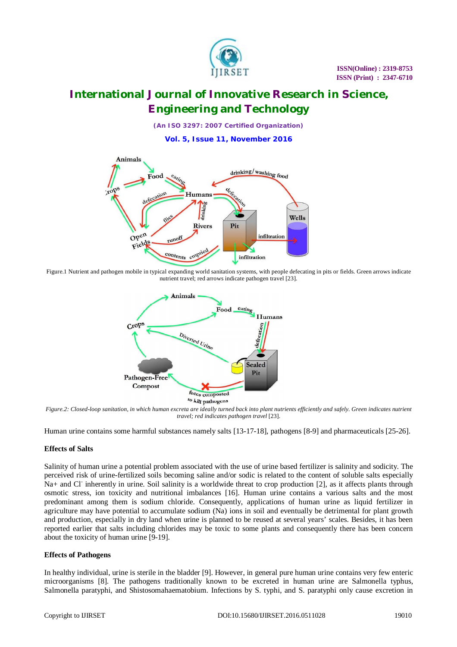

*(An ISO 3297: 2007 Certified Organization)*

**Vol. 5, Issue 11, November 2016**



 Figure.1 Nutrient and pathogen mobile in typical expanding world sanitation systems, with people defecating in pits or fields. Green arrows indicate nutrient travel; red arrows indicate pathogen travel [23].



 *Figure.2: Closed-loop sanitation, in which human excreta are ideally turned back into plant nutrients efficiently and safely. Green indicates nutrient travel; red indicates pathogen travel* [23].

Human urine contains some harmful substances namely salts [13-17-18], pathogens [8-9] and pharmaceuticals [25-26].

### **Effects of Salts**

Salinity of human urine a potential problem associated with the use of urine based fertilizer is salinity and sodicity. The perceived risk of urine-fertilized soils becoming saline and/or sodic is related to the content of soluble salts especially Na+ and Cl<sup>-</sup> inherently in urine. Soil salinity is a worldwide threat to crop production [2], as it affects plants through osmotic stress, ion toxicity and nutritional imbalances [16]. Human urine contains a various salts and the most predominant among them is sodium chloride. Consequently, applications of human urine as liquid fertilizer in agriculture may have potential to accumulate sodium (Na) ions in soil and eventually be detrimental for plant growth and production, especially in dry land when urine is planned to be reused at several years' scales. Besides, it has been reported earlier that salts including chlorides may be toxic to some plants and consequently there has been concern about the toxicity of human urine [9-19].

#### **Effects of Pathogens**

In healthy individual, urine is sterile in the bladder [9]. However, in general pure human urine contains very few enteric microorganisms [8]. The pathogens traditionally known to be excreted in human urine are Salmonella typhus, Salmonella paratyphi, and Shistosomahaematobium. Infections by S. typhi, and S. paratyphi only cause excretion in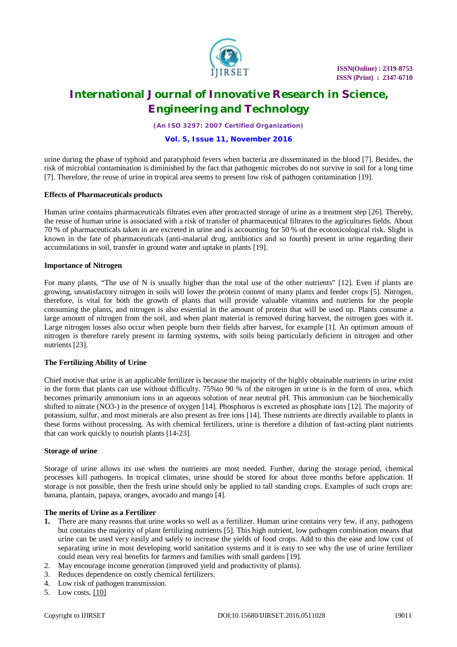

*(An ISO 3297: 2007 Certified Organization)*

### **Vol. 5, Issue 11, November 2016**

urine during the phase of typhoid and paratyphoid fevers when bacteria are disseminated in the blood [7]. Besides, the risk of microbial contamination is diminished by the fact that pathogenic microbes do not survive in soil for a long time [7]. Therefore, the reuse of urine in tropical area seems to present low risk of pathogen contamination [19].

#### **Effects of Pharmaceuticals products**

Human urine contains pharmaceuticals filtrates even after protracted storage of urine as a treatment step [26]. Thereby, the reuse of human urine is associated with a risk of transfer of pharmaceutical filtrates to the agricultures fields. About 70 % of pharmaceuticals taken in are excreted in urine and is accounting for 50 % of the ecotoxicological risk. Slight is known in the fate of pharmaceuticals (anti-malarial drug, antibiotics and so fourth) present in urine regarding their accumulations in soil, transfer in ground water and uptake in plants [19].

#### **Importance of Nitrogen**

For many plants, "The use of N is usually higher than the total use of the other nutrients" [12]. Even if plants are growing, unsatisfactory nitrogen in soils will lower the protein content of many plants and feeder crops [5]. Nitrogen, therefore, is vital for both the growth of plants that will provide valuable vitamins and nutrients for the people consuming the plants, and nitrogen is also essential in the amount of protein that will be used up. Plants consume a large amount of nitrogen from the soil, and when plant material is removed during harvest, the nitrogen goes with it. Large nitrogen losses also occur when people burn their fields after harvest, for example [1]. An optimum amount of nitrogen is therefore rarely present in farming systems, with soils being particularly deficient in nitrogen and other nutrients [23].

### **The Fertilizing Ability of Urine**

Chief motive that urine is an applicable fertilizer is because the majority of the highly obtainable nutrients in urine exist in the form that plants can use without difficulty. 75%to 90 % of the nitrogen in urine is in the form of urea, which becomes primarily ammonium ions in an aqueous solution of near neutral pH. This ammonium can be biochemically shifted to nitrate (NO3-) in the presence of oxygen [14]. Phosphorus is excreted as phosphate ions [12]. The majority of potassium, sulfur, and most minerals are also present as free ions [14]. These nutrients are directly available to plants in these forms without processing. As with chemical fertilizers, urine is therefore a dilution of fast-acting plant nutrients that can work quickly to nourish plants [14-23].

### **Storage of urine**

Storage of urine allows its use when the nutrients are most needed. Further, during the storage period, chemical processes kill pathogens. In tropical climates, urine should be stored for about three months before application. If storage is not possible, then the fresh urine should only be applied to tall standing crops. Examples of such crops are: banana, plantain, papaya, oranges, avocado and mango [4].

#### **The merits of Urine as a Fertilizer**

- **1.** There are many reasons that urine works so well as a fertilizer. Human urine contains very few, if any, pathogens but contains the majority of plant fertilizing nutrients [5]. This high nutrient, low pathogen combination means that urine can be used very easily and safely to increase the yields of food crops. Add to this the ease and low cost of separating urine in most developing world sanitation systems and it is easy to see why the use of urine fertilizer could mean very real benefits for farmers and families with small gardens [19].
- 2. May encourage income generation (improved yield and productivity of plants).
- 3. Reduces dependence on costly chemical fertilizers.
- 4. Low risk of pathogen transmission.
- 5. Low costs. [10]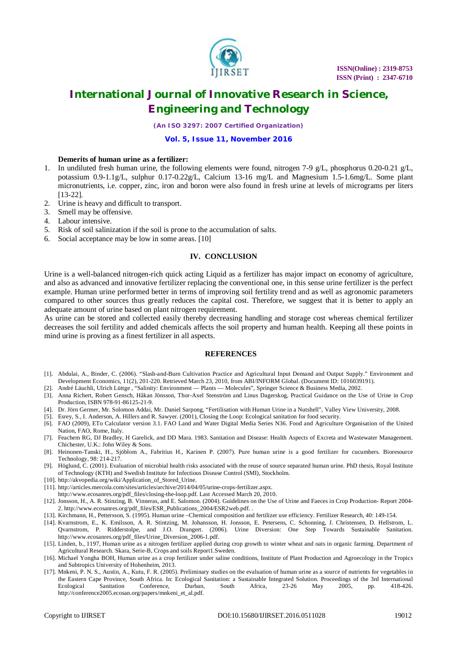

*(An ISO 3297: 2007 Certified Organization)*

#### **Vol. 5, Issue 11, November 2016**

#### **Demerits of human urine as a fertilizer:**

- 1. In undiluted fresh human urine, the following elements were found, nitrogen 7-9 g/L, phosphorus 0.20-0.21 g/L, potassium 0.9-1.1g/L, sulphur 0.17-0.22g/L, Calcium 13-16 mg/L and Magnesium 1.5-1.6mg/L. Some plant micronutrients, i.e. copper, zinc, iron and boron were also found in fresh urine at levels of micrograms per liters [13-22].
- 2. Urine is heavy and difficult to transport.
- 3. Smell may be offensive.
- 4. Labour intensive.
- 5. Risk of soil salinization if the soil is prone to the accumulation of salts.
- 6. Social acceptance may be low in some areas. [10]

#### **IV. CONCLUSION**

Urine is a well-balanced nitrogen-rich quick acting Liquid as a fertilizer has major impact on economy of agriculture, and also as advanced and innovative fertilizer replacing the conventional one, in this sense urine fertilizer is the perfect example. Human urine performed better in terms of improving soil fertility trend and as well as agronomic parameters compared to other sources thus greatly reduces the capital cost. Therefore, we suggest that it is better to apply an adequate amount of urine based on plant nitrogen requirement.

As urine can be stored and collected easily thereby decreasing handling and storage cost whereas chemical fertilizer decreases the soil fertility and added chemicals affects the soil property and human health. Keeping all these points in mind urine is proving as a finest fertilizer in all aspects.

#### **REFERENCES**

- [1]. Abdulai, A., Binder, C. (2006). "Slash-and-Burn Cultivation Practice and Agricultural Input Demand and Output Supply." Environment and Development Economics, 11(2), 201-220. Retrieved March 23, 2010, from ABI/INFORM Global. (Document ID: 1016039191).
- [2]. André Läuchli, Ulrich Lüttge, "Salinity: Environment Plants Molecules", Springer Science & Business Media, 2002.
- [3]. Anna Richert, Robert Gensch, Håkan Jönsson, Thor-Axel Stenström and Linus Dagerskog, Practical Guidance on the Use of Urine in Crop Production, ISBN 978-91-86125-21-9.
- [4]. Dr. Jörn Germer, Mr. Solomon Addai, Mr. Daniel Sarpong, "Fertilisation with Human Urine in a Nutshell", Valley View University, 2008.
- [5]. Esrey, S., I. Anderson, A. Hillers and R. Sawyer. (2001), Closing the Loop: Ecological sanitation for food security.
- [6]. FAO (2009), ETo Calculator version 3.1. FAO Land and Water Digital Media Series N36. Food and Agriculture Organisation of the United Nation, FAO, Rome, Italy.
- [7]. Feachem RG, DJ Bradley, H Garelick, and DD Mara. 1983. Sanitation and Disease: Health Aspects of Excreta and Wastewater Management. Chichester, U.K.: John Wiley & Sons.
- [8]. Heinonen-Tanski, H., Sjöblom A., Fabritius H., Karinen P. (2007). Pure human urine is a good fertilizer for cucumbers. Bioresource Technology, 98: 214-217.
- [9]. Höglund, C. (2001). Evaluation of microbial health risks associated with the reuse of source separated human urine. PhD thesis, Royal Institute of Technology (KTH) and Swedish Institute for Infectious Disease Control (SMI), Stockholm.
- [10]. [http://akvopedia.org/wiki/Application\\_of\\_Stored\\_Urine.](http://akvopedia.org/wiki/Application_of_Stored_Urine.)
- [11]. <http://articles.mercola.com/sites/articles/archive/2014/04/05/urine-crops-fertilizer.aspx.>
- [http://www.ecosanres.org/pdf\\_files/closing-the-loop.pdf.](http://www.ecosanres.org/pdf_files/closing-the-loop.pdf.) Last Accessed March 20, 2010.
- [12]. Jonsson, H., A. R. Stinzing, B. Vinneras, and E. Salomon. (2004). Guidelines on the Use of Urine and Faeces in Crop Production- Report 2004- 2. [http://www.ecosanres.org/pdf\\_files/ESR\\_Publications\\_2004/ESR2web.pdf.](http://www.ecosanres.org/pdf_files/ESR_Publications_2004/ESR2web.pdf.) .
- [13]. Kirchmann, H., Pettersson, S. (1995). Human urine –Chemical composition and fertilizer use efficiency. Fertilizer Research, 40: 149-154.
- [14]. Kvarnstrom, E., K. Emilsson, A. R. Stintzing, M. Johansson, H. Jonsson, E. Petersens, C. Schonning, J. Christensen, D. Hellstrom, L. Qvarnstrom, P. Ridderstolpe, and J.O. Drangert. (2006). Urine Diversion: One Step Towards Sustainable Sanitation. [http://www.ecosanres.org/pdf\\_files/Urine\\_Diversion\\_2006-1.pdf.](http://www.ecosanres.org/pdf_files/Urine_Diversion_2006-1.pdf.)
- [15]. Linden, b., 1197, Human urine as a nitrogen fertilizer applied during crop growth to winter wheat and oats in organic farming. Department of Agricultural Research. Skara, Serie-B, Crops and soils Report1.Sweden.
- [16]. Michael Yongha BOH, Human urine as a crop fertilizer under saline conditions, Institute of Plant Production and Agroecology in the Tropics and Subtropics University of Hohenheim, 2013.
- [17]. Mnkeni, P. N. S., Austin, A., Kutu, F. R. (2005). Preliminary studies on the evaluation of human urine as a source of nutrients for vegetables in the Eastern Cape Province, South Africa. In: Ecological Sanitation: a Sustainable Integrated Solution. Proceedings of the 3rd International<br>
Ecological Sanitation Conference Durban South Africa 23-26 May 2005 pp. 418-426 Ecological Sanitation Conference, Durban, South Africa, 23-26 May 2005, pp. 418-426. [http://conference2005.ecosan.org/papers/mnkeni\\_et\\_al.pdf.](http://conference2005.ecosan.org/papers/mnkeni_et_al.pdf.)